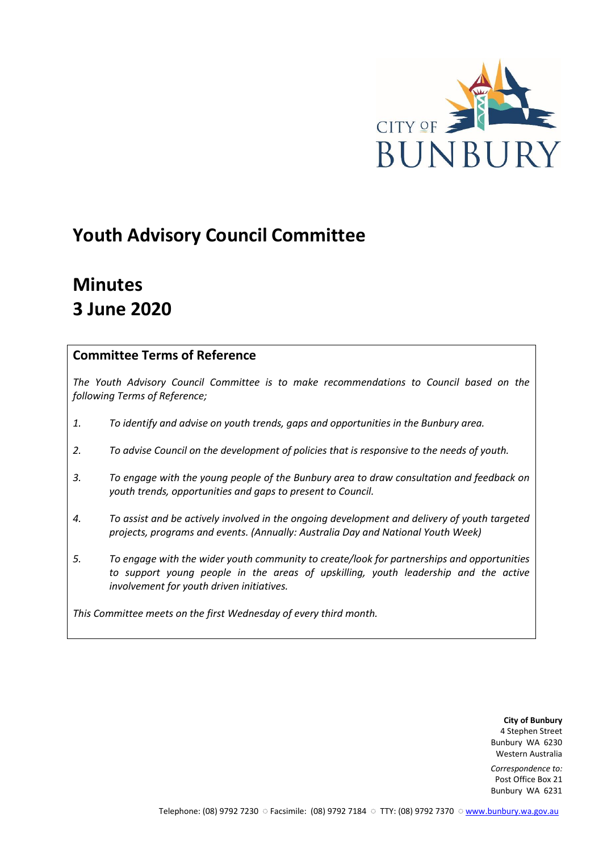

# **Youth Advisory Council Committee**

# **Minutes 3 June 2020**

## **Committee Terms of Reference**

*The Youth Advisory Council Committee is to make recommendations to Council based on the following Terms of Reference;*

- *1. To identify and advise on youth trends, gaps and opportunities in the Bunbury area.*
- *2. To advise Council on the development of policies that is responsive to the needs of youth.*
- *3. To engage with the young people of the Bunbury area to draw consultation and feedback on youth trends, opportunities and gaps to present to Council.*
- *4. To assist and be actively involved in the ongoing development and delivery of youth targeted projects, programs and events. (Annually: Australia Day and National Youth Week)*
- *5. To engage with the wider youth community to create/look for partnerships and opportunities*  to support young people in the areas of upskilling, youth leadership and the active *involvement for youth driven initiatives.*

*This Committee meets on the first Wednesday of every third month.*

**City of Bunbury** 4 Stephen Street Bunbury WA 6230 Western Australia

*Correspondence to:* Post Office Box 21 Bunbury WA 6231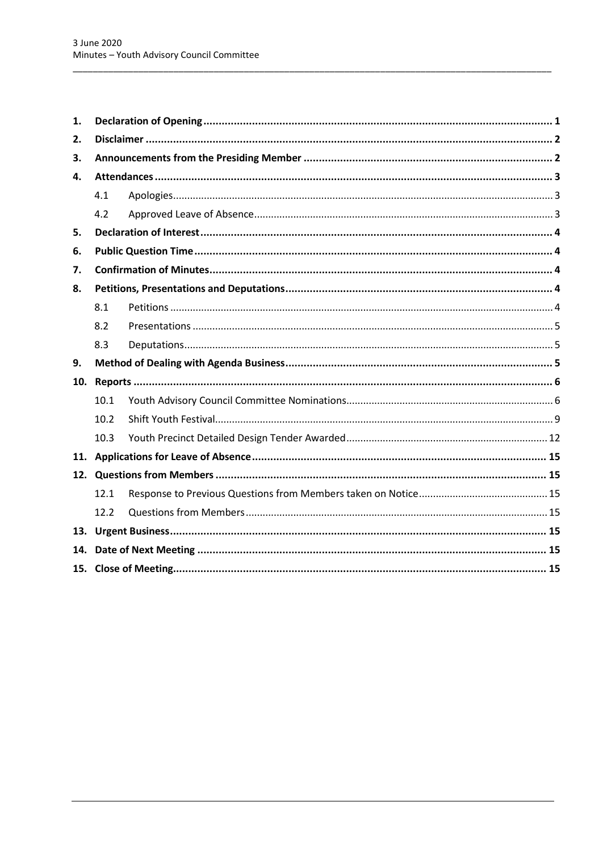| 4.1  |     |  |  |
|------|-----|--|--|
| 4.2  |     |  |  |
|      |     |  |  |
|      |     |  |  |
|      |     |  |  |
|      |     |  |  |
| 8.1  |     |  |  |
| 8.2  |     |  |  |
| 8.3  |     |  |  |
|      |     |  |  |
|      |     |  |  |
| 10.1 |     |  |  |
| 10.2 |     |  |  |
| 10.3 |     |  |  |
|      |     |  |  |
|      |     |  |  |
| 12.1 |     |  |  |
| 12.2 |     |  |  |
|      |     |  |  |
|      |     |  |  |
|      |     |  |  |
|      | 14. |  |  |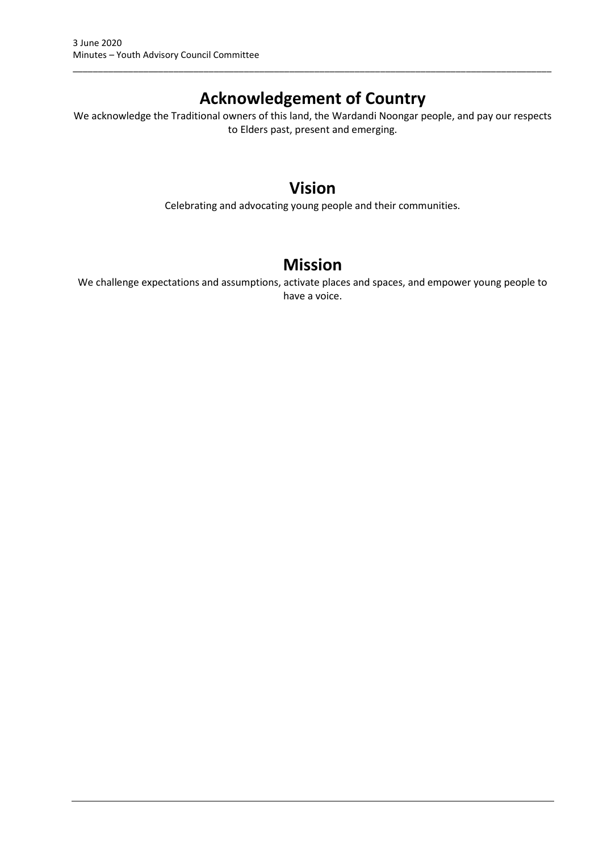# **Acknowledgement of Country**

\_\_\_\_\_\_\_\_\_\_\_\_\_\_\_\_\_\_\_\_\_\_\_\_\_\_\_\_\_\_\_\_\_\_\_\_\_\_\_\_\_\_\_\_\_\_\_\_\_\_\_\_\_\_\_\_\_\_\_\_\_\_\_\_\_\_\_\_\_\_\_\_\_\_\_\_\_\_\_\_\_\_\_\_\_\_\_\_\_\_\_\_\_\_\_

We acknowledge the Traditional owners of this land, the Wardandi Noongar people, and pay our respects to Elders past, present and emerging.

# **Vision**

Celebrating and advocating young people and their communities.

# **Mission**

We challenge expectations and assumptions, activate places and spaces, and empower young people to have a voice.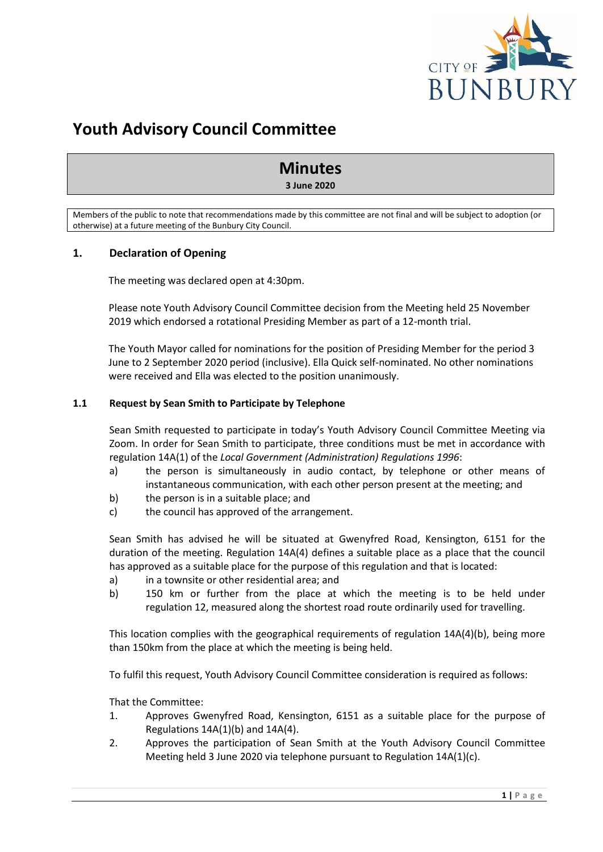

# **Youth Advisory Council Committee**

# **Minutes**

#### **3 June 2020**

Members of the public to note that recommendations made by this committee are not final and will be subject to adoption (or otherwise) at a future meeting of the Bunbury City Council.

## <span id="page-3-0"></span>**1. Declaration of Opening**

The meeting was declared open at 4:30pm.

Please note Youth Advisory Council Committee decision from the Meeting held 25 November 2019 which endorsed a rotational Presiding Member as part of a 12-month trial.

The Youth Mayor called for nominations for the position of Presiding Member for the period 3 June to 2 September 2020 period (inclusive). Ella Quick self-nominated. No other nominations were received and Ella was elected to the position unanimously.

## **1.1 Request by Sean Smith to Participate by Telephone**

Sean Smith requested to participate in today's Youth Advisory Council Committee Meeting via Zoom. In order for Sean Smith to participate, three conditions must be met in accordance with regulation 14A(1) of the *Local Government (Administration) Regulations 1996*:

- a) the person is simultaneously in audio contact, by telephone or other means of instantaneous communication, with each other person present at the meeting; and
- b) the person is in a suitable place; and
- c) the council has approved of the arrangement.

Sean Smith has advised he will be situated at Gwenyfred Road, Kensington, 6151 for the duration of the meeting. Regulation 14A(4) defines a suitable place as a place that the council has approved as a suitable place for the purpose of this regulation and that is located:

- a) in a townsite or other residential area; and
- b) 150 km or further from the place at which the meeting is to be held under regulation 12, measured along the shortest road route ordinarily used for travelling.

This location complies with the geographical requirements of regulation 14A(4)(b), being more than 150km from the place at which the meeting is being held.

To fulfil this request, Youth Advisory Council Committee consideration is required as follows:

That the Committee:

- 1. Approves Gwenyfred Road, Kensington, 6151 as a suitable place for the purpose of Regulations  $14A(1)(b)$  and  $14A(4)$ .
- 2. Approves the participation of Sean Smith at the Youth Advisory Council Committee Meeting held 3 June 2020 via telephone pursuant to Regulation 14A(1)(c).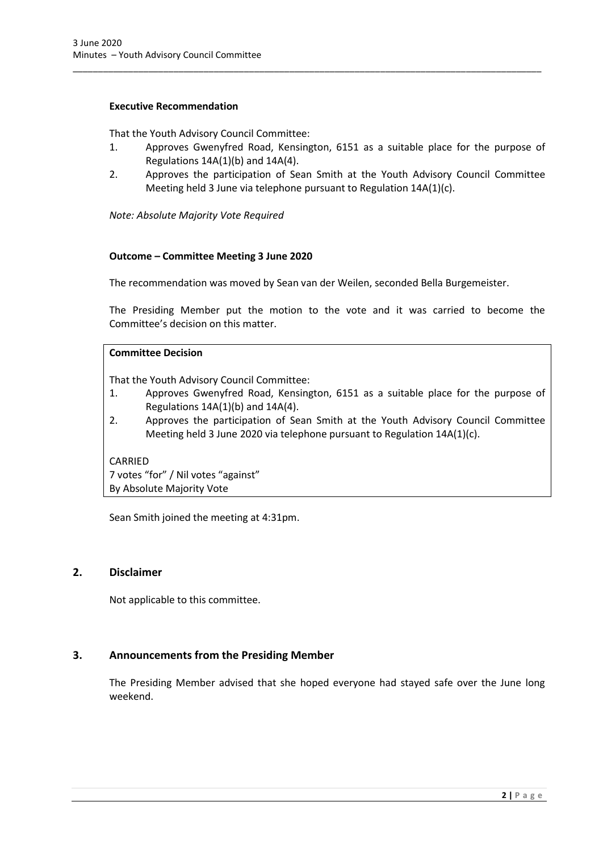## **Executive Recommendation**

That the Youth Advisory Council Committee:

1. Approves Gwenyfred Road, Kensington, 6151 as a suitable place for the purpose of Regulations  $14A(1)(b)$  and  $14A(4)$ .

\_\_\_\_\_\_\_\_\_\_\_\_\_\_\_\_\_\_\_\_\_\_\_\_\_\_\_\_\_\_\_\_\_\_\_\_\_\_\_\_\_\_\_\_\_\_\_\_\_\_\_\_\_\_\_\_\_\_\_\_\_\_\_\_\_\_\_\_\_\_\_\_\_\_\_\_\_\_\_\_\_\_\_\_\_\_\_\_\_\_\_\_\_

2. Approves the participation of Sean Smith at the Youth Advisory Council Committee Meeting held 3 June via telephone pursuant to Regulation 14A(1)(c).

*Note: Absolute Majority Vote Required* 

#### **Outcome – Committee Meeting 3 June 2020**

The recommendation was moved by Sean van der Weilen, seconded Bella Burgemeister.

The Presiding Member put the motion to the vote and it was carried to become the Committee's decision on this matter.

## **Committee Decision**

That the Youth Advisory Council Committee:

- 1. Approves Gwenyfred Road, Kensington, 6151 as a suitable place for the purpose of Regulations  $14A(1)(b)$  and  $14A(4)$ .
- 2. Approves the participation of Sean Smith at the Youth Advisory Council Committee Meeting held 3 June 2020 via telephone pursuant to Regulation 14A(1)(c).

CARRIED

7 votes "for" / Nil votes "against" By Absolute Majority Vote

<span id="page-4-0"></span>Sean Smith joined the meeting at 4:31pm.

## **2. Disclaimer**

Not applicable to this committee.

## <span id="page-4-1"></span>**3. Announcements from the Presiding Member**

The Presiding Member advised that she hoped everyone had stayed safe over the June long weekend.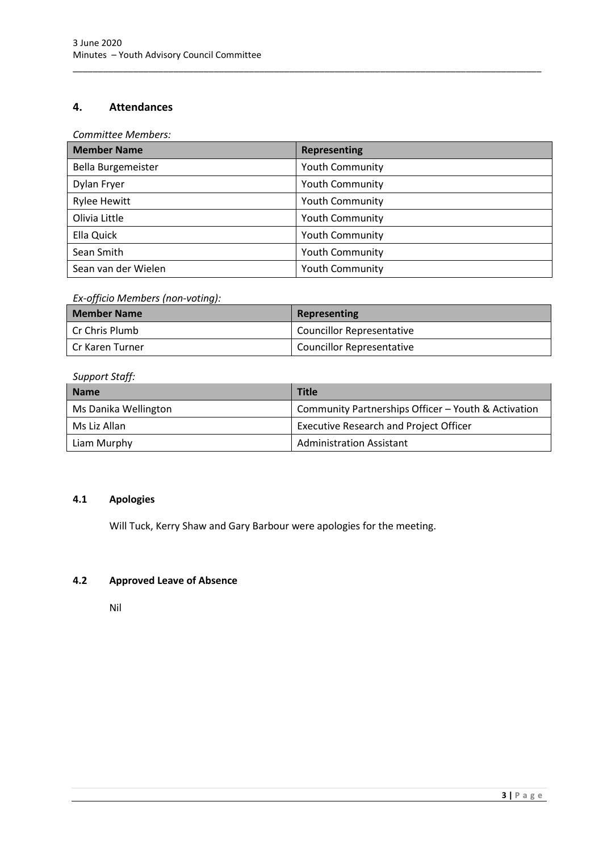## <span id="page-5-0"></span>**4. Attendances**

*Committee Members:*

| <b>Member Name</b>  | <b>Representing</b>    |
|---------------------|------------------------|
| Bella Burgemeister  | <b>Youth Community</b> |
| Dylan Fryer         | <b>Youth Community</b> |
| <b>Rylee Hewitt</b> | <b>Youth Community</b> |
| Olivia Little       | <b>Youth Community</b> |
| Ella Quick          | <b>Youth Community</b> |
| Sean Smith          | <b>Youth Community</b> |
| Sean van der Wielen | <b>Youth Community</b> |

\_\_\_\_\_\_\_\_\_\_\_\_\_\_\_\_\_\_\_\_\_\_\_\_\_\_\_\_\_\_\_\_\_\_\_\_\_\_\_\_\_\_\_\_\_\_\_\_\_\_\_\_\_\_\_\_\_\_\_\_\_\_\_\_\_\_\_\_\_\_\_\_\_\_\_\_\_\_\_\_\_\_\_\_\_\_\_\_\_\_\_\_\_

## *Ex-officio Members (non-voting):*

| <b>Member Name</b> | Representing                     |
|--------------------|----------------------------------|
| Cr Chris Plumb     | <b>Councillor Representative</b> |
| Cr Karen Turner    | <b>Councillor Representative</b> |

## *Support Staff:*

| <b>Name</b>          | <b>Title</b>                                        |
|----------------------|-----------------------------------------------------|
| Ms Danika Wellington | Community Partnerships Officer - Youth & Activation |
| Ms Liz Allan         | <b>Executive Research and Project Officer</b>       |
| Liam Murphy          | <b>Administration Assistant</b>                     |

## <span id="page-5-1"></span>**4.1 Apologies**

Will Tuck, Kerry Shaw and Gary Barbour were apologies for the meeting.

## <span id="page-5-2"></span>**4.2 Approved Leave of Absence**

Nil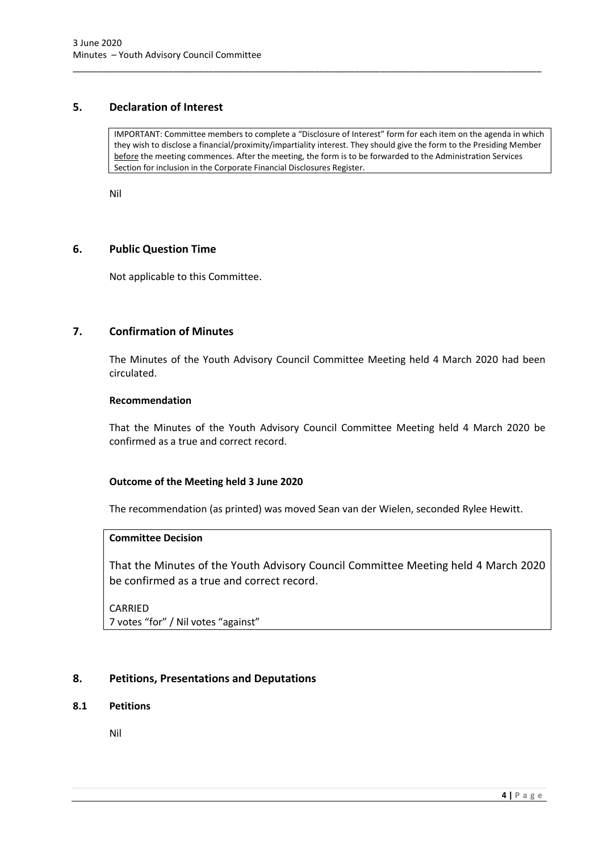## <span id="page-6-0"></span>**5. Declaration of Interest**

IMPORTANT: Committee members to complete a "Disclosure of Interest" form for each item on the agenda in which they wish to disclose a financial/proximity/impartiality interest. They should give the form to the Presiding Member before the meeting commences. After the meeting, the form is to be forwarded to the Administration Services Section for inclusion in the Corporate Financial Disclosures Register.

\_\_\_\_\_\_\_\_\_\_\_\_\_\_\_\_\_\_\_\_\_\_\_\_\_\_\_\_\_\_\_\_\_\_\_\_\_\_\_\_\_\_\_\_\_\_\_\_\_\_\_\_\_\_\_\_\_\_\_\_\_\_\_\_\_\_\_\_\_\_\_\_\_\_\_\_\_\_\_\_\_\_\_\_\_\_\_\_\_\_\_\_\_

Nil

## <span id="page-6-1"></span>**6. Public Question Time**

Not applicable to this Committee.

## <span id="page-6-2"></span>**7. Confirmation of Minutes**

The Minutes of the Youth Advisory Council Committee Meeting held 4 March 2020 had been circulated.

#### **Recommendation**

That the Minutes of the Youth Advisory Council Committee Meeting held 4 March 2020 be confirmed as a true and correct record.

## **Outcome of the Meeting held 3 June 2020**

The recommendation (as printed) was moved Sean van der Wielen, seconded Rylee Hewitt.

## **Committee Decision**

That the Minutes of the Youth Advisory Council Committee Meeting held 4 March 2020 be confirmed as a true and correct record.

CARRIED 7 votes "for" / Nil votes "against"

## <span id="page-6-3"></span>**8. Petitions, Presentations and Deputations**

## <span id="page-6-4"></span>**8.1 Petitions**

Nil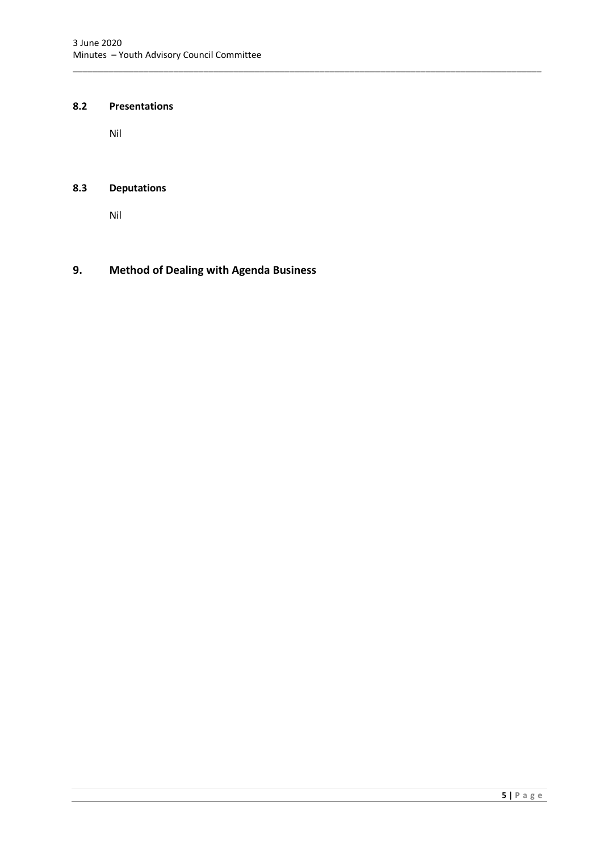\_\_\_\_\_\_\_\_\_\_\_\_\_\_\_\_\_\_\_\_\_\_\_\_\_\_\_\_\_\_\_\_\_\_\_\_\_\_\_\_\_\_\_\_\_\_\_\_\_\_\_\_\_\_\_\_\_\_\_\_\_\_\_\_\_\_\_\_\_\_\_\_\_\_\_\_\_\_\_\_\_\_\_\_\_\_\_\_\_\_\_\_\_

## <span id="page-7-0"></span>**8.2 Presentations**

Nil

## <span id="page-7-1"></span>**8.3 Deputations**

Nil

## <span id="page-7-2"></span>**9. Method of Dealing with Agenda Business**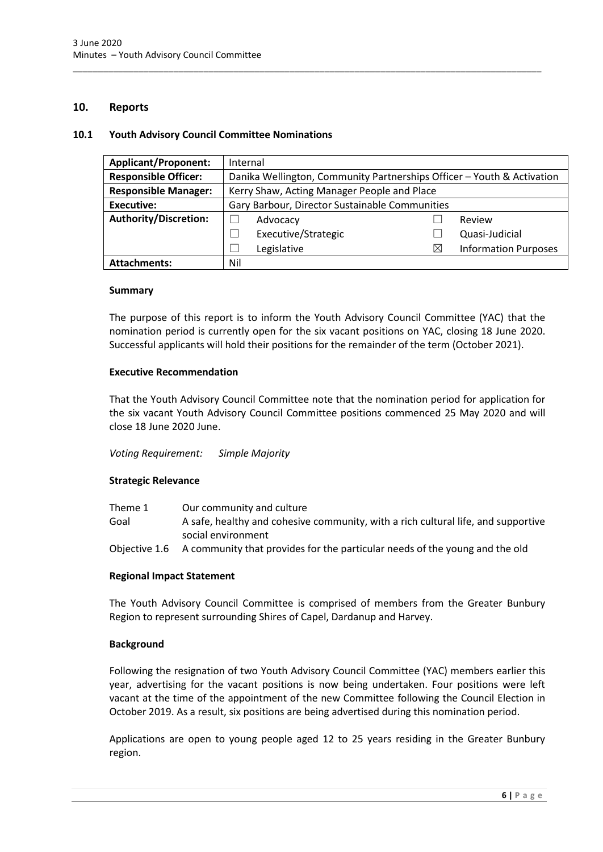## <span id="page-8-0"></span>**10. Reports**

#### <span id="page-8-1"></span>**10.1 Youth Advisory Council Committee Nominations**

| <b>Applicant/Proponent:</b> | Internal                                    |                                                                        |   |                             |  |
|-----------------------------|---------------------------------------------|------------------------------------------------------------------------|---|-----------------------------|--|
| <b>Responsible Officer:</b> |                                             | Danika Wellington, Community Partnerships Officer - Youth & Activation |   |                             |  |
| <b>Responsible Manager:</b> | Kerry Shaw, Acting Manager People and Place |                                                                        |   |                             |  |
| <b>Executive:</b>           |                                             | Gary Barbour, Director Sustainable Communities                         |   |                             |  |
| Authority/Discretion:       |                                             | Advocacy                                                               |   | Review                      |  |
|                             |                                             | Executive/Strategic                                                    |   | Quasi-Judicial              |  |
|                             |                                             | Legislative                                                            | ⋉ | <b>Information Purposes</b> |  |
| <b>Attachments:</b>         | Nil                                         |                                                                        |   |                             |  |

\_\_\_\_\_\_\_\_\_\_\_\_\_\_\_\_\_\_\_\_\_\_\_\_\_\_\_\_\_\_\_\_\_\_\_\_\_\_\_\_\_\_\_\_\_\_\_\_\_\_\_\_\_\_\_\_\_\_\_\_\_\_\_\_\_\_\_\_\_\_\_\_\_\_\_\_\_\_\_\_\_\_\_\_\_\_\_\_\_\_\_\_\_

#### **Summary**

The purpose of this report is to inform the Youth Advisory Council Committee (YAC) that the nomination period is currently open for the six vacant positions on YAC, closing 18 June 2020. Successful applicants will hold their positions for the remainder of the term (October 2021).

## **Executive Recommendation**

That the Youth Advisory Council Committee note that the nomination period for application for the six vacant Youth Advisory Council Committee positions commenced 25 May 2020 and will close 18 June 2020 June.

#### *Voting Requirement: Simple Majority*

#### **Strategic Relevance**

| Theme 1 | Our community and culture                                                                 |
|---------|-------------------------------------------------------------------------------------------|
| Goal    | A safe, healthy and cohesive community, with a rich cultural life, and supportive         |
|         | social environment                                                                        |
|         | Objective 1.6 A community that provides for the particular needs of the young and the old |

#### **Regional Impact Statement**

The Youth Advisory Council Committee is comprised of members from the Greater Bunbury Region to represent surrounding Shires of Capel, Dardanup and Harvey.

#### **Background**

Following the resignation of two Youth Advisory Council Committee (YAC) members earlier this year, advertising for the vacant positions is now being undertaken. Four positions were left vacant at the time of the appointment of the new Committee following the Council Election in October 2019. As a result, six positions are being advertised during this nomination period.

Applications are open to young people aged 12 to 25 years residing in the Greater Bunbury region.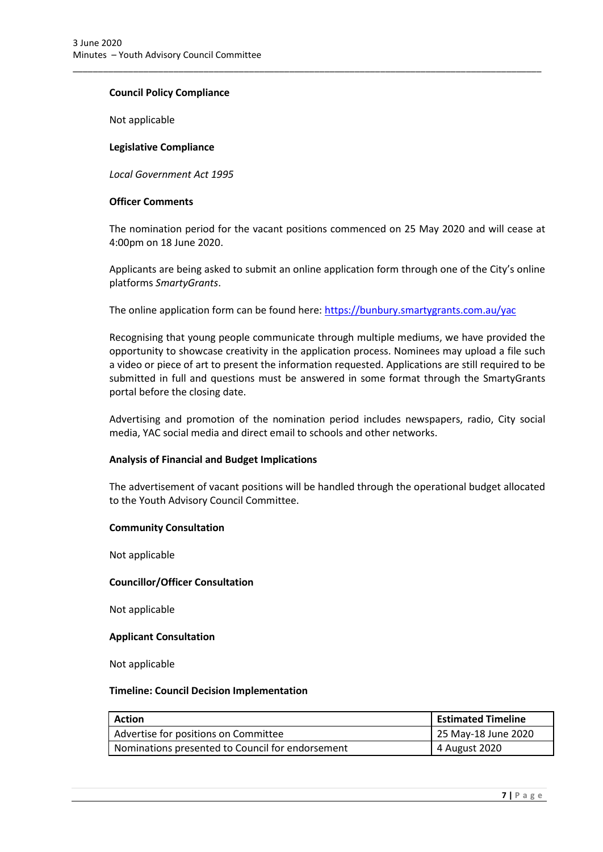## **Council Policy Compliance**

Not applicable

## **Legislative Compliance**

*Local Government Act 1995*

#### **Officer Comments**

The nomination period for the vacant positions commenced on 25 May 2020 and will cease at 4:00pm on 18 June 2020.

Applicants are being asked to submit an online application form through one of the City's online platforms *SmartyGrants*.

The online application form can be found here[: https://bunbury.smartygrants.com.au/yac](https://bunbury.smartygrants.com.au/yac)

\_\_\_\_\_\_\_\_\_\_\_\_\_\_\_\_\_\_\_\_\_\_\_\_\_\_\_\_\_\_\_\_\_\_\_\_\_\_\_\_\_\_\_\_\_\_\_\_\_\_\_\_\_\_\_\_\_\_\_\_\_\_\_\_\_\_\_\_\_\_\_\_\_\_\_\_\_\_\_\_\_\_\_\_\_\_\_\_\_\_\_\_\_

Recognising that young people communicate through multiple mediums, we have provided the opportunity to showcase creativity in the application process. Nominees may upload a file such a video or piece of art to present the information requested. Applications are still required to be submitted in full and questions must be answered in some format through the SmartyGrants portal before the closing date.

Advertising and promotion of the nomination period includes newspapers, radio, City social media, YAC social media and direct email to schools and other networks.

## **Analysis of Financial and Budget Implications**

The advertisement of vacant positions will be handled through the operational budget allocated to the Youth Advisory Council Committee.

#### **Community Consultation**

Not applicable

#### **Councillor/Officer Consultation**

Not applicable

#### **Applicant Consultation**

Not applicable

#### **Timeline: Council Decision Implementation**

| Action                                           | <b>Estimated Timeline</b> |
|--------------------------------------------------|---------------------------|
| Advertise for positions on Committee             | 125 May-18 June 2020      |
| Nominations presented to Council for endorsement | 4 August 2020             |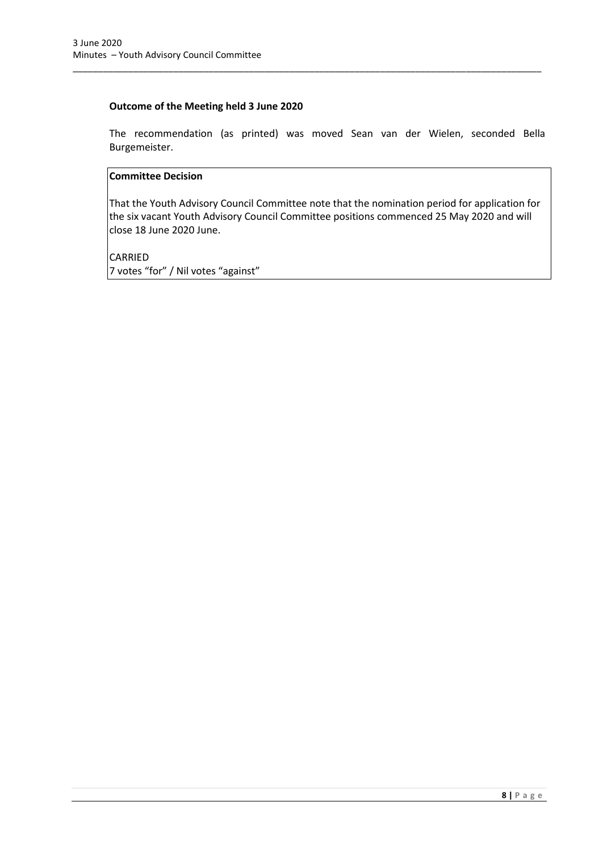## **Outcome of the Meeting held 3 June 2020**

The recommendation (as printed) was moved Sean van der Wielen, seconded Bella Burgemeister.

\_\_\_\_\_\_\_\_\_\_\_\_\_\_\_\_\_\_\_\_\_\_\_\_\_\_\_\_\_\_\_\_\_\_\_\_\_\_\_\_\_\_\_\_\_\_\_\_\_\_\_\_\_\_\_\_\_\_\_\_\_\_\_\_\_\_\_\_\_\_\_\_\_\_\_\_\_\_\_\_\_\_\_\_\_\_\_\_\_\_\_\_\_

## **Committee Decision**

That the Youth Advisory Council Committee note that the nomination period for application for the six vacant Youth Advisory Council Committee positions commenced 25 May 2020 and will close 18 June 2020 June.

CARRIED 7 votes "for" / Nil votes "against"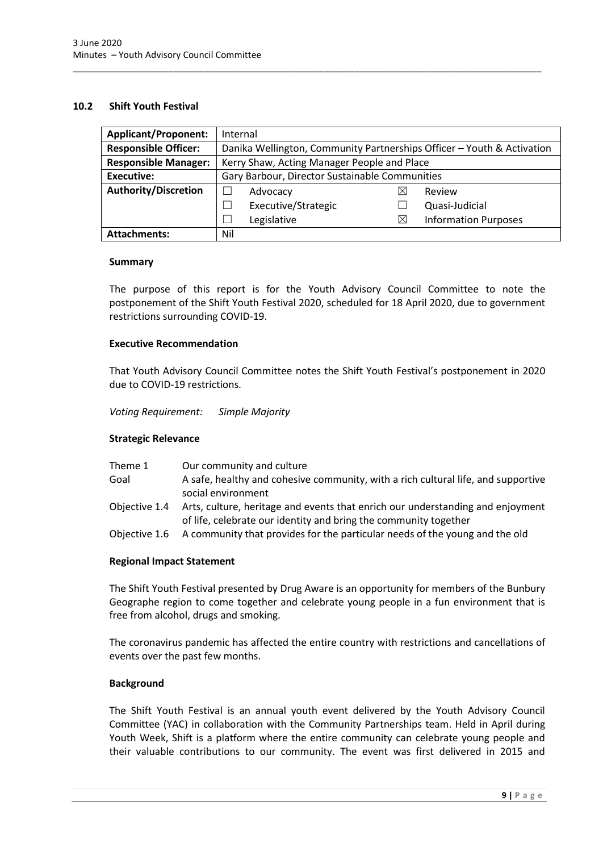## <span id="page-11-0"></span>**10.2 Shift Youth Festival**

| <b>Applicant/Proponent:</b> | Internal                                                               |                     |  |          |                             |
|-----------------------------|------------------------------------------------------------------------|---------------------|--|----------|-----------------------------|
| <b>Responsible Officer:</b> | Danika Wellington, Community Partnerships Officer - Youth & Activation |                     |  |          |                             |
| <b>Responsible Manager:</b> | Kerry Shaw, Acting Manager People and Place                            |                     |  |          |                             |
| <b>Executive:</b>           | Gary Barbour, Director Sustainable Communities                         |                     |  |          |                             |
| <b>Authority/Discretion</b> |                                                                        | Advocacy            |  | ⋉        | Review                      |
|                             |                                                                        | Executive/Strategic |  |          | Quasi-Judicial              |
|                             |                                                                        | Legislative         |  | $\times$ | <b>Information Purposes</b> |
| <b>Attachments:</b>         | Nil                                                                    |                     |  |          |                             |

\_\_\_\_\_\_\_\_\_\_\_\_\_\_\_\_\_\_\_\_\_\_\_\_\_\_\_\_\_\_\_\_\_\_\_\_\_\_\_\_\_\_\_\_\_\_\_\_\_\_\_\_\_\_\_\_\_\_\_\_\_\_\_\_\_\_\_\_\_\_\_\_\_\_\_\_\_\_\_\_\_\_\_\_\_\_\_\_\_\_\_\_\_

#### **Summary**

The purpose of this report is for the Youth Advisory Council Committee to note the postponement of the Shift Youth Festival 2020, scheduled for 18 April 2020, due to government restrictions surrounding COVID-19.

#### **Executive Recommendation**

That Youth Advisory Council Committee notes the Shift Youth Festival's postponement in 2020 due to COVID-19 restrictions.

*Voting Requirement: Simple Majority* 

## **Strategic Relevance**

| Theme 1       | Our community and culture                                                                                                                          |
|---------------|----------------------------------------------------------------------------------------------------------------------------------------------------|
| Goal          | A safe, healthy and cohesive community, with a rich cultural life, and supportive<br>social environment                                            |
| Obiective 1.4 | Arts, culture, heritage and events that enrich our understanding and enjoyment<br>of life, celebrate our identity and bring the community together |
| Objective 1.6 | A community that provides for the particular needs of the young and the old                                                                        |

#### **Regional Impact Statement**

The Shift Youth Festival presented by Drug Aware is an opportunity for members of the Bunbury Geographe region to come together and celebrate young people in a fun environment that is free from alcohol, drugs and smoking.

The coronavirus pandemic has affected the entire country with restrictions and cancellations of events over the past few months.

#### **Background**

The Shift Youth Festival is an annual youth event delivered by the Youth Advisory Council Committee (YAC) in collaboration with the Community Partnerships team. Held in April during Youth Week, Shift is a platform where the entire community can celebrate young people and their valuable contributions to our community. The event was first delivered in 2015 and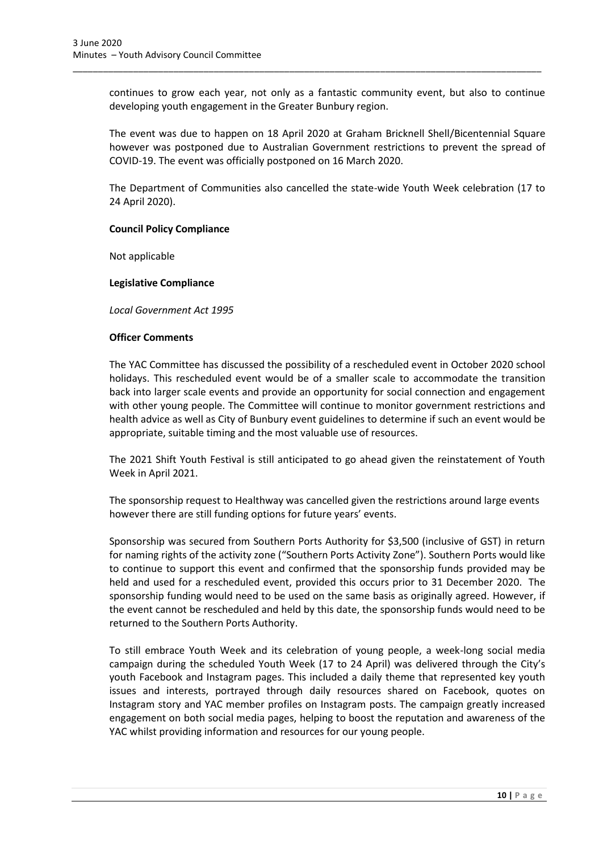continues to grow each year, not only as a fantastic community event, but also to continue developing youth engagement in the Greater Bunbury region.

\_\_\_\_\_\_\_\_\_\_\_\_\_\_\_\_\_\_\_\_\_\_\_\_\_\_\_\_\_\_\_\_\_\_\_\_\_\_\_\_\_\_\_\_\_\_\_\_\_\_\_\_\_\_\_\_\_\_\_\_\_\_\_\_\_\_\_\_\_\_\_\_\_\_\_\_\_\_\_\_\_\_\_\_\_\_\_\_\_\_\_\_\_

The event was due to happen on 18 April 2020 at Graham Bricknell Shell/Bicentennial Square however was postponed due to Australian Government restrictions to prevent the spread of COVID-19. The event was officially postponed on 16 March 2020.

The Department of Communities also cancelled the state-wide Youth Week celebration (17 to 24 April 2020).

## **Council Policy Compliance**

Not applicable

#### **Legislative Compliance**

*Local Government Act 1995*

#### **Officer Comments**

The YAC Committee has discussed the possibility of a rescheduled event in October 2020 school holidays. This rescheduled event would be of a smaller scale to accommodate the transition back into larger scale events and provide an opportunity for social connection and engagement with other young people. The Committee will continue to monitor government restrictions and health advice as well as City of Bunbury event guidelines to determine if such an event would be appropriate, suitable timing and the most valuable use of resources.

The 2021 Shift Youth Festival is still anticipated to go ahead given the reinstatement of Youth Week in April 2021.

The sponsorship request to Healthway was cancelled given the restrictions around large events however there are still funding options for future years' events.

Sponsorship was secured from Southern Ports Authority for \$3,500 (inclusive of GST) in return for naming rights of the activity zone ("Southern Ports Activity Zone"). Southern Ports would like to continue to support this event and confirmed that the sponsorship funds provided may be held and used for a rescheduled event, provided this occurs prior to 31 December 2020. The sponsorship funding would need to be used on the same basis as originally agreed. However, if the event cannot be rescheduled and held by this date, the sponsorship funds would need to be returned to the Southern Ports Authority.

To still embrace Youth Week and its celebration of young people, a week-long social media campaign during the scheduled Youth Week (17 to 24 April) was delivered through the City's youth Facebook and Instagram pages. This included a daily theme that represented key youth issues and interests, portrayed through daily resources shared on Facebook, quotes on Instagram story and YAC member profiles on Instagram posts. The campaign greatly increased engagement on both social media pages, helping to boost the reputation and awareness of the YAC whilst providing information and resources for our young people.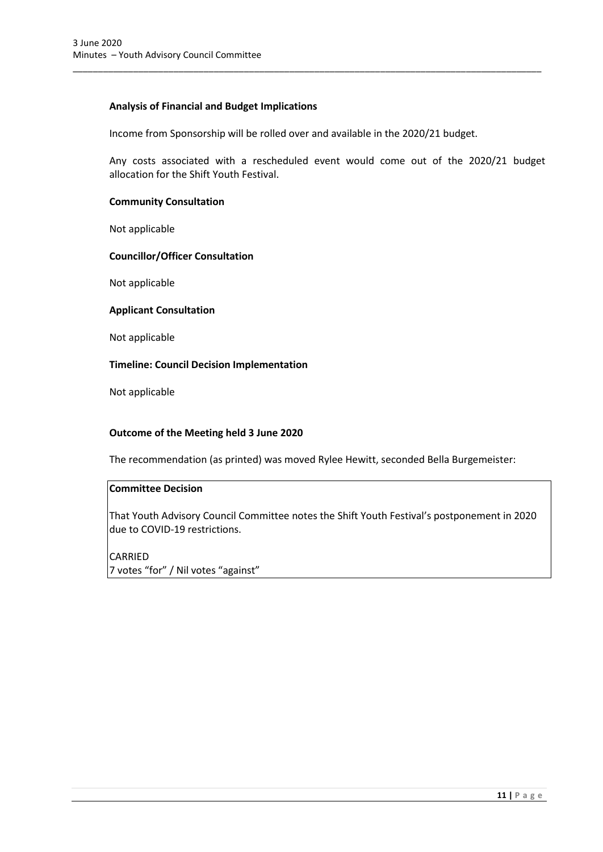## **Analysis of Financial and Budget Implications**

Income from Sponsorship will be rolled over and available in the 2020/21 budget.

\_\_\_\_\_\_\_\_\_\_\_\_\_\_\_\_\_\_\_\_\_\_\_\_\_\_\_\_\_\_\_\_\_\_\_\_\_\_\_\_\_\_\_\_\_\_\_\_\_\_\_\_\_\_\_\_\_\_\_\_\_\_\_\_\_\_\_\_\_\_\_\_\_\_\_\_\_\_\_\_\_\_\_\_\_\_\_\_\_\_\_\_\_

Any costs associated with a rescheduled event would come out of the 2020/21 budget allocation for the Shift Youth Festival.

## **Community Consultation**

Not applicable

## **Councillor/Officer Consultation**

Not applicable

#### **Applicant Consultation**

Not applicable

## **Timeline: Council Decision Implementation**

Not applicable

## **Outcome of the Meeting held 3 June 2020**

The recommendation (as printed) was moved Rylee Hewitt, seconded Bella Burgemeister:

## **Committee Decision**

That Youth Advisory Council Committee notes the Shift Youth Festival's postponement in 2020 due to COVID-19 restrictions.

CARRIED 7 votes "for" / Nil votes "against"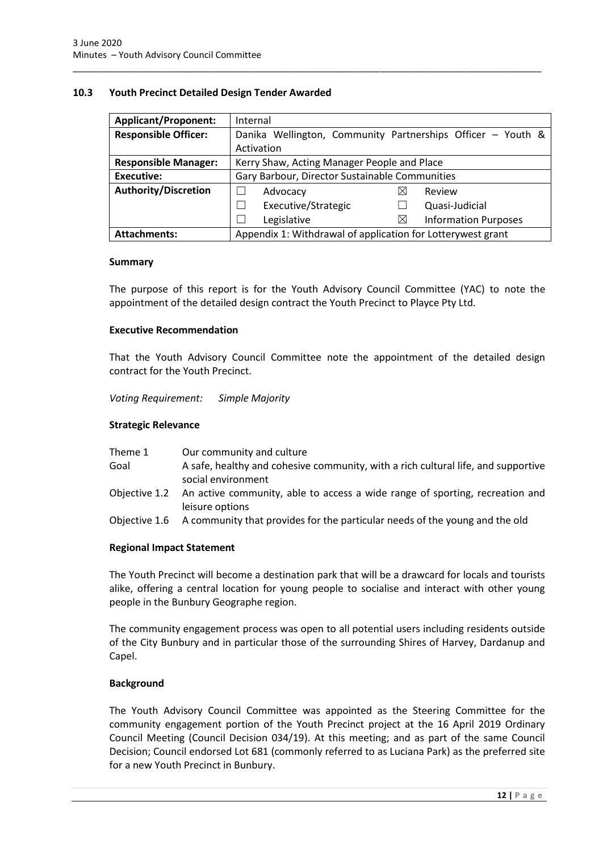### <span id="page-14-0"></span>**10.3 Youth Precinct Detailed Design Tender Awarded**

| <b>Applicant/Proponent:</b> | Internal                                                    |  |  |
|-----------------------------|-------------------------------------------------------------|--|--|
| <b>Responsible Officer:</b> | Danika Wellington, Community Partnerships Officer - Youth & |  |  |
|                             | Activation                                                  |  |  |
| <b>Responsible Manager:</b> | Kerry Shaw, Acting Manager People and Place                 |  |  |
| Executive:                  | Gary Barbour, Director Sustainable Communities              |  |  |
| <b>Authority/Discretion</b> | $\times$<br>Review<br>Advocacy                              |  |  |
|                             | Executive/Strategic<br>Quasi-Judicial<br>$\mathcal{L}$      |  |  |
|                             | <b>Information Purposes</b><br>Legislative<br>$\times$      |  |  |
| <b>Attachments:</b>         | Appendix 1: Withdrawal of application for Lotterywest grant |  |  |

\_\_\_\_\_\_\_\_\_\_\_\_\_\_\_\_\_\_\_\_\_\_\_\_\_\_\_\_\_\_\_\_\_\_\_\_\_\_\_\_\_\_\_\_\_\_\_\_\_\_\_\_\_\_\_\_\_\_\_\_\_\_\_\_\_\_\_\_\_\_\_\_\_\_\_\_\_\_\_\_\_\_\_\_\_\_\_\_\_\_\_\_\_

#### **Summary**

The purpose of this report is for the Youth Advisory Council Committee (YAC) to note the appointment of the detailed design contract the Youth Precinct to Playce Pty Ltd.

#### **Executive Recommendation**

That the Youth Advisory Council Committee note the appointment of the detailed design contract for the Youth Precinct.

*Voting Requirement: Simple Majority* 

#### **Strategic Relevance**

| Theme 1       | Our community and culture                                                                                     |
|---------------|---------------------------------------------------------------------------------------------------------------|
| Goal          | A safe, healthy and cohesive community, with a rich cultural life, and supportive<br>social environment       |
|               | Objective 1.2 An active community, able to access a wide range of sporting, recreation and<br>leisure options |
| Objective 1.6 | A community that provides for the particular needs of the young and the old                                   |

## **Regional Impact Statement**

The Youth Precinct will become a destination park that will be a drawcard for locals and tourists alike, offering a central location for young people to socialise and interact with other young people in the Bunbury Geographe region.

The community engagement process was open to all potential users including residents outside of the City Bunbury and in particular those of the surrounding Shires of Harvey, Dardanup and Capel.

## **Background**

The Youth Advisory Council Committee was appointed as the Steering Committee for the community engagement portion of the Youth Precinct project at the 16 April 2019 Ordinary Council Meeting (Council Decision 034/19). At this meeting; and as part of the same Council Decision; Council endorsed Lot 681 (commonly referred to as Luciana Park) as the preferred site for a new Youth Precinct in Bunbury.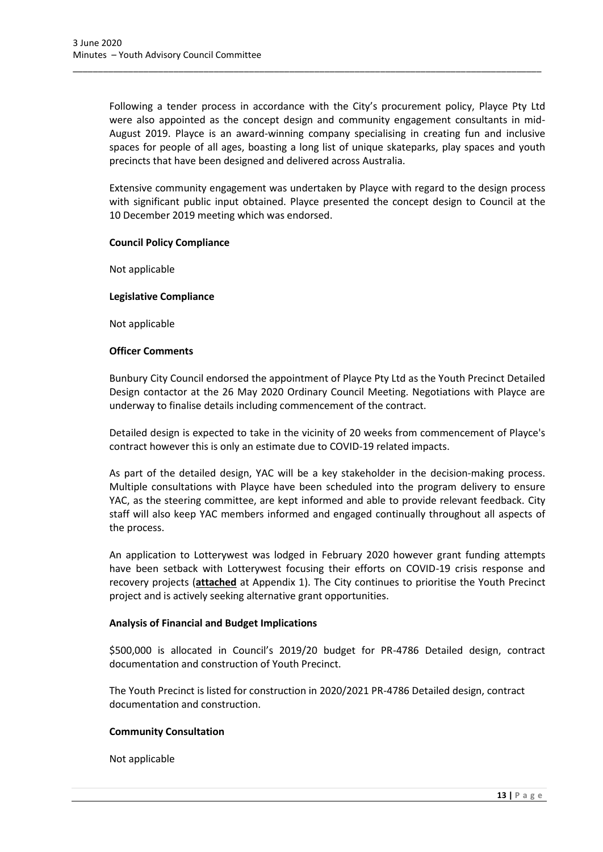Following a tender process in accordance with the City's procurement policy, Playce Pty Ltd were also appointed as the concept design and community engagement consultants in mid-August 2019. Playce is an award-winning company specialising in creating fun and inclusive spaces for people of all ages, boasting a long list of unique skateparks, play spaces and youth precincts that have been designed and delivered across Australia.

\_\_\_\_\_\_\_\_\_\_\_\_\_\_\_\_\_\_\_\_\_\_\_\_\_\_\_\_\_\_\_\_\_\_\_\_\_\_\_\_\_\_\_\_\_\_\_\_\_\_\_\_\_\_\_\_\_\_\_\_\_\_\_\_\_\_\_\_\_\_\_\_\_\_\_\_\_\_\_\_\_\_\_\_\_\_\_\_\_\_\_\_\_

Extensive community engagement was undertaken by Playce with regard to the design process with significant public input obtained. Playce presented the concept design to Council at the 10 December 2019 meeting which was endorsed.

## **Council Policy Compliance**

Not applicable

#### **Legislative Compliance**

Not applicable

#### **Officer Comments**

Bunbury City Council endorsed the appointment of Playce Pty Ltd as the Youth Precinct Detailed Design contactor at the 26 May 2020 Ordinary Council Meeting. Negotiations with Playce are underway to finalise details including commencement of the contract.

Detailed design is expected to take in the vicinity of 20 weeks from commencement of Playce's contract however this is only an estimate due to COVID-19 related impacts.

As part of the detailed design, YAC will be a key stakeholder in the decision-making process. Multiple consultations with Playce have been scheduled into the program delivery to ensure YAC, as the steering committee, are kept informed and able to provide relevant feedback. City staff will also keep YAC members informed and engaged continually throughout all aspects of the process.

An application to Lotterywest was lodged in February 2020 however grant funding attempts have been setback with Lotterywest focusing their efforts on COVID-19 crisis response and recovery projects (**attached** at Appendix 1). The City continues to prioritise the Youth Precinct project and is actively seeking alternative grant opportunities.

## **Analysis of Financial and Budget Implications**

\$500,000 is allocated in Council's 2019/20 budget for PR-4786 Detailed design, contract documentation and construction of Youth Precinct.

The Youth Precinct is listed for construction in 2020/2021 PR-4786 Detailed design, contract documentation and construction.

#### **Community Consultation**

Not applicable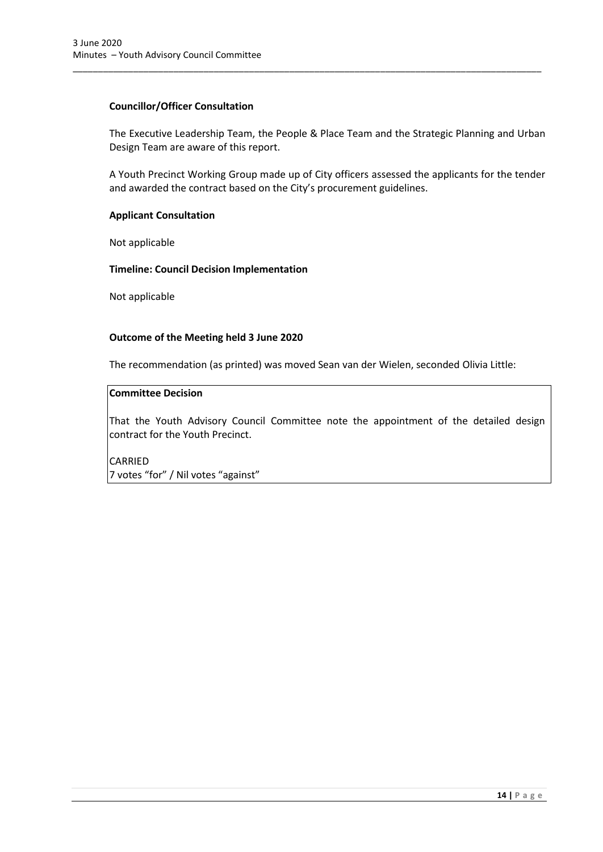#### **Councillor/Officer Consultation**

The Executive Leadership Team, the People & Place Team and the Strategic Planning and Urban Design Team are aware of this report.

\_\_\_\_\_\_\_\_\_\_\_\_\_\_\_\_\_\_\_\_\_\_\_\_\_\_\_\_\_\_\_\_\_\_\_\_\_\_\_\_\_\_\_\_\_\_\_\_\_\_\_\_\_\_\_\_\_\_\_\_\_\_\_\_\_\_\_\_\_\_\_\_\_\_\_\_\_\_\_\_\_\_\_\_\_\_\_\_\_\_\_\_\_

A Youth Precinct Working Group made up of City officers assessed the applicants for the tender and awarded the contract based on the City's procurement guidelines.

## **Applicant Consultation**

Not applicable

#### **Timeline: Council Decision Implementation**

Not applicable

#### **Outcome of the Meeting held 3 June 2020**

The recommendation (as printed) was moved Sean van der Wielen, seconded Olivia Little:

## **Committee Decision**

That the Youth Advisory Council Committee note the appointment of the detailed design contract for the Youth Precinct.

CARRIED 7 votes "for" / Nil votes "against"